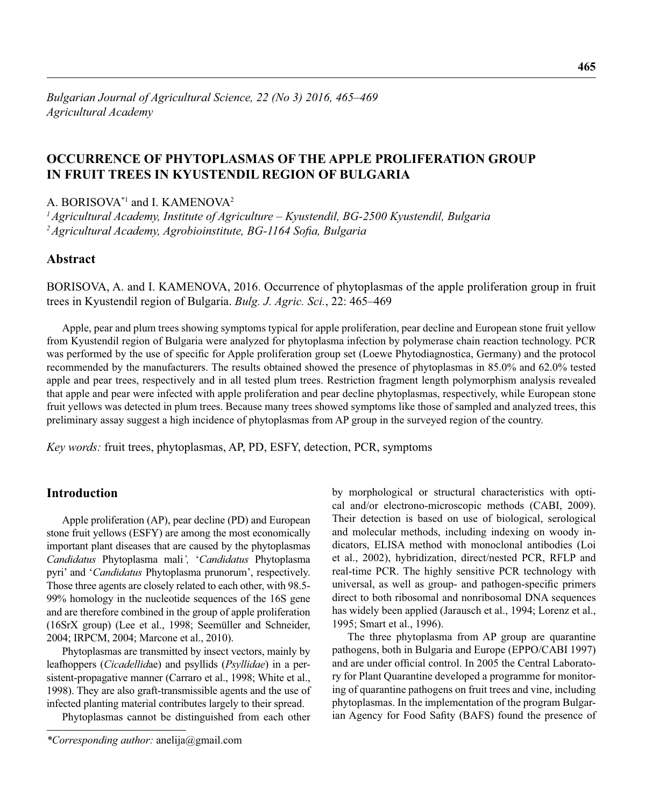# **OCCURRENCE OF PHYTOPLASMAS OF THE APPLE PROLIFERATION GROUP IN FRUIT TREES IN KYUSTENDIL REGION OF BULGARIA**

A. BORISOVA\*1 and I. KAMENOVA2

*1 Agricultural Academy, Institute of Agriculture – Kyustendil, BG-2500 Kyustendil, Bulgaria* <sup>2</sup> Agricultural Academy, Agrobioinstitute, BG-1164 Sofia, Bulgaria

# **Abstract**

BORISOVA, A. and I. KAMENOVA, 2016. Occurrence of phytoplasmas of the apple proliferation group in fruit trees in Kyustendil region of Bulgaria. *Bulg. J. Agric. Sci.*, 22: 465–469

Apple, pear and plum trees showing symptoms typical for apple proliferation, pear decline and European stone fruit yellow from Kyustendil region of Bulgaria were analyzed for phytoplasma infection by polymerase chain reaction technology. PCR was performed by the use of specific for Apple proliferation group set (Loewe Phytodiagnostica, Germany) and the protocol recommended by the manufacturers. The results obtained showed the presence of phytoplasmas in 85.0% and 62.0% tested apple and pear trees, respectively and in all tested plum trees. Restriction fragment length polymorphism analysis revealed that apple and pear were infected with apple proliferation and pear decline phytoplasmas, respectively, while European stone fruit yellows was detected in plum trees. Because many trees showed symptoms like those of sampled and analyzed trees, this preliminary assay suggest a high incidence of phytoplasmas from AP group in the surveyed region of the country.

*Key words:* fruit trees, phytoplasmas, AP, PD, ESFY, detection, PCR, symptoms

## **Introduction**

Apple proliferation (AP), pear decline (PD) and European stone fruit yellows (ESFY) are among the most economically important plant diseases that are caused by the phytoplasmas *Candidatus* Phytoplasma mali*',* '*Candidatus* Phytoplasma pyri' and '*Candidatus* Phytoplasma prunorum', respectively. Those three agents are closely related to each other, with 98.5- 99% homology in the nucleotide sequences of the 16S gene and are therefore combined in the group of apple proliferation (16SrX group) (Lee et al., 1998; Seemüller and Schneider, 2004; IRPCM, 2004; Marcone et al., 2010).

Phytoplasmas are transmitted by insect vectors, mainly by leafhoppers (*Cicadellid*ae) and psyllids (*Psyllidae*) in a persistent-propagative manner (Carraro et al., 1998; White et al., 1998). They are also graft-transmissible agents and the use of infected planting material contributes largely to their spread.

Phytoplasmas cannot be distinguished from each other

by morphological or structural characteristics with optical and/or electrono-microscopic methods (CABI, 2009). Their detection is based on use of biological, serological and molecular methods, including indexing on woody indicators, ELISA method with monoclonal antibodies (Loi et al., 2002), hybridization, direct/nested PCR, RFLP and real-time PCR. The highly sensitive PCR technology with universal, as well as group- and pathogen-specific primers direct to both ribosomal and nonribosomal DNA sequences has widely been applied (Jarausch et al., 1994; Lorenz et al., 1995; Smart et al., 1996).

The three phytoplasma from AP group are quarantine pathogens, both in Bulgaria and Europe (EPPO/CABI 1997) and are under official control. In 2005 the Central Laboratory for Plant Quarantine developed a programme for monitoring of quarantine pathogens on fruit trees and vine, including phytoplasmas. In the implementation of the program Bulgarian Agency for Food Safity (BAFS) found the presence of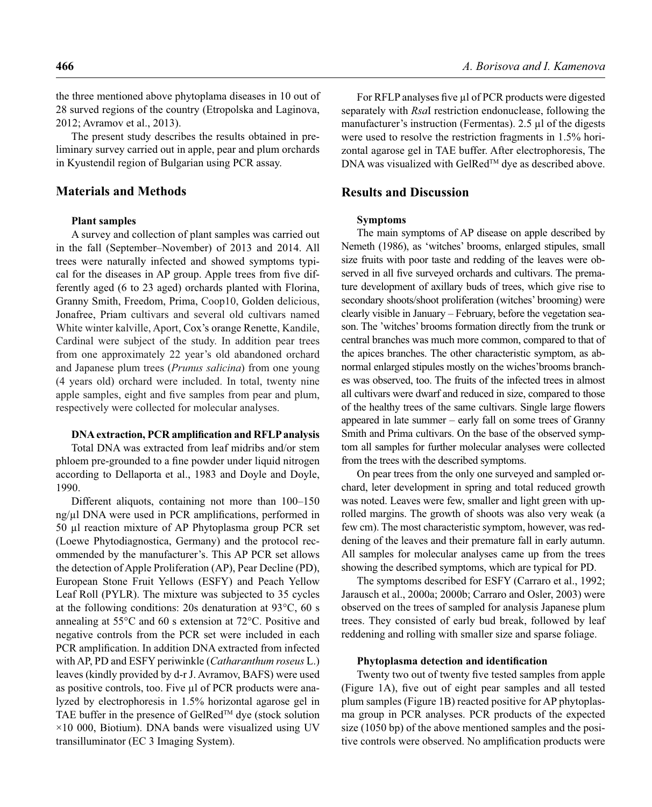the three mentioned above phytoplama diseases in 10 out of 28 surved regions of the country (Etropolska and Laginova, 2012; Avramov et al., 2013).

The present study describes the results obtained in preliminary survey carried out in apple, pear and plum orchards in Kyustendil region of Bulgarian using PCR assay.

## **Materials and Methods**

#### **Plant samples**

A survey and collection of plant samples was carried out in the fall (September–November) of 2013 and 2014. All trees were naturally infected and showed symptoms typical for the diseases in AP group. Apple trees from five differently aged (6 to 23 aged) orchards planted with Florina, Granny Smith, Freedom, Prima, Coop10, Golden delicious, Jonafree, Priam cultivars and several old cultivars named White winter kalville, Aport, Cox's orange Renette, Kandile, Cardinal were subject of the study. In addition pear trees from one approximately 22 year's old abandoned orchard and Japanese plum trees (*Prunus salicina*) from one young (4 years old) orchard were included. In total, twenty nine apple samples, eight and five samples from pear and plum, respectively were collected for molecular analyses.

#### **DNA extraction, PCR amplification and RFLP analysis**

Total DNA was extracted from leaf midribs and/or stem phloem pre-grounded to a fine powder under liquid nitrogen according to Dellaporta et al., 1983 and Doyle and Doyle, 1990.

Different aliquots, containing not more than 100–150 ng/μl DNA were used in PCR amplifications, performed in 50 μl reaction mixture of AP Phytoplasma group PCR set (Loewe Phytodiagnostica, Germany) and the protocol recommended by the manufacturer's. This AP PCR set allows the detection of Apple Proliferation (AP), Pear Decline (PD), European Stone Fruit Yellows (ESFY) and Peach Yellow Leaf Roll (PYLR). The mixture was subjected to 35 cycles at the following conditions: 20s denaturation at 93°C, 60 s annealing at 55°C and 60 s extension at 72°C. Positive and negative controls from the PCR set were included in each PCR amplification. In addition DNA extracted from infected with AP, PD and ESFY periwinkle (*Catharanthum roseus* L.) leaves (kindly provided by d-r J. Avramov, BAFS) were used as positive controls, too. Five μl of PCR products were analyzed by electrophoresis in 1.5% horizontal agarose gel in TAE buffer in the presence of GelRed<sup>TM</sup> dye (stock solution  $\times$ 10 000, Biotium). DNA bands were visualized using UV transilluminator (ЕС 3 Imaging System).

**466** *A. Borisova and I. Kamenova*

For RFLP analyses five μl of PCR products were digested separately with *Rsa*I restriction endonuclease, following the manufacturer's instruction (Fermentas). 2.5 μl of the digests were used to resolve the restriction fragments in 1.5% horizontal agarose gel in TAE buffer. After electrophoresis, The DNA was visualized with GelRed™ dye as described above.

## **Results and Discussion**

#### **Symptoms**

The main symptoms of AP disease on apple described by Nemeth (1986), as 'witches' brooms, enlarged stipules, small size fruits with poor taste and redding of the leaves were observed in all five surveyed orchards and cultivars. The premature development of axillary buds of trees, which give rise to secondary shoots/shoot proliferation (witches' brooming) were clearly visible in January – February, before the vegetation season. The 'witches' brooms formation directly from the trunk or central branches was much more common, compared to that of the apices branches. The other characteristic symptom, as abnormal enlarged stipules mostly on the wiches'brooms branches was observed, too. The fruits of the infected trees in almost all cultivars were dwarf and reduced in size, compared to those of the healthy trees of the same cultivars. Single large flowers appeared in late summer – early fall on some trees of Granny Smith and Prima cultivars. On the base of the observed symptom all samples for further molecular analyses were collected from the trees with the described symptoms.

On pear trees from the only one surveyed and sampled orchard, leter development in spring and total reduced growth was noted. Leaves were few, smaller and light green with uprolled margins. The growth of shoots was also very weak (a few cm). The most characteristic symptom, however, was reddening of the leaves and their premature fall in early autumn. All samples for molecular analyses came up from the trees showing the described symptoms, which are typical for PD.

The symptoms described for ESFY (Carraro et al., 1992; Jarausch et al., 2000a; 2000b; Carraro and Osler, 2003) were observed on the trees of sampled for analysis Japanese plum trees. They consisted of early bud break, followed by leaf reddening and rolling with smaller size and sparse foliage.

#### **Phytoplasma detection and identification**

Twenty two out of twenty five tested samples from apple (Figure 1A), five out of eight pear samples and all tested plum samples (Figure 1B) reacted positive for AP phytoplasma group in PCR analyses. PCR products of the expected size (1050 bp) of the above mentioned samples and the positive controls were observed. No amplification products were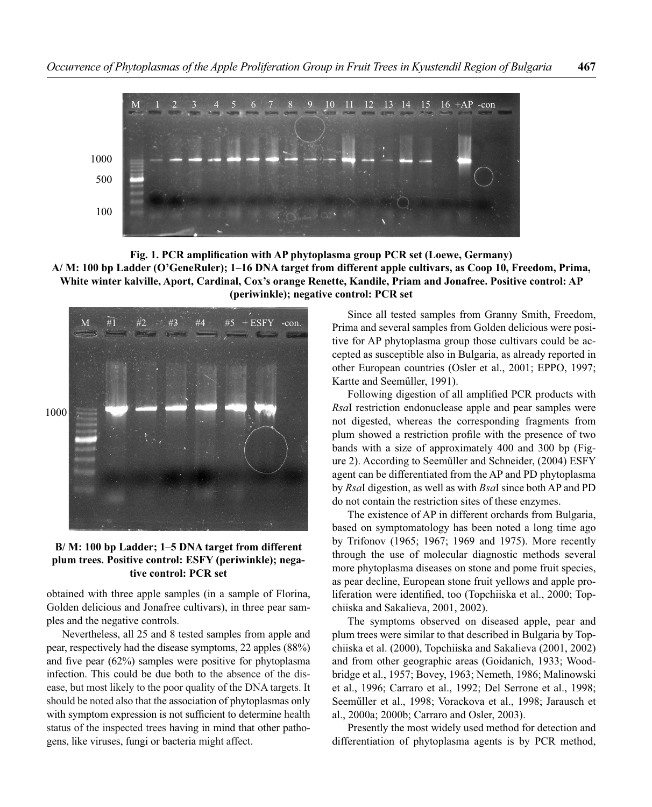

Fig. 1. PCR amplification with AP phytoplasma group PCR set (Loewe, Germany) **A/ M: 100 bp Ladder (O'GeneRuler); 1–16 DNA target from different apple cultivars, as Coop 10, Freedom, Prima, White winter kalville, Aport, Cardinal, Cox's orange Renette, Kandile, Priam and Jonafree. Positive control: AP (periwinkle); negative control: PCR set**



### **B/ M: 100 bp Ladder; 1–5 DNA target from different plum trees. Positive control: ESFY (periwinkle); negative control: PCR set**

obtained with three apple samples (in a sample of Florina, Golden delicious and Jonafree cultivars), in three pear samples and the negative controls.

Nevertheless, all 25 and 8 tested samples from apple and pear, respectively had the disease symptoms, 22 apples (88%) and five pear  $(62%)$  samples were positive for phytoplasma infection. This could be due both to the absence of the disease, but most likely to the poor quality of the DNA targets. It should be noted also that the association of phytoplasmas only with symptom expression is not sufficient to determine health status of the inspected trees having in mind that other pathogens, like viruses, fungi or bacteria might affect.

Since all tested samples from Granny Smith, Freedom, Prima and several samples from Golden delicious were positive for AP phytoplasma group those cultivars could be accepted as susceptible also in Bulgaria, as already reported in other European countries (Osler et al., 2001; EPPO, 1997; Kartte and Seeműller, 1991).

Following digestion of all amplified PCR products with *Rsa*I restriction endonuclease apple and pear samples were not digested, whereas the corresponding fragments from plum showed a restriction profile with the presence of two bands with a size of approximately 400 and 300 bp (Figure 2). According to Seeműller and Schneider, (2004) ESFY agent can be differentiated from the AP and PD phytoplasma by *Rsa*I digestion, as well as with *Bsa*I since both AP and PD do not contain the restriction sites of these enzymes.

The existence of AP in different orchards from Bulgaria, based on symptomatology has been noted a long time ago by Trifonov (1965; 1967; 1969 and 1975). More recently through the use of molecular diagnostic methods several more phytoplasma diseases on stone and pome fruit species, as pear decline, European stone fruit yellows and apple proliferation were identified, too (Topchiiska et al., 2000; Topchiiska and Sakalieva, 2001, 2002).

The symptoms observed on diseased apple, pear and plum trees were similar to that described in Bulgaria by Topchiiska et al. (2000), Topchiiska and Sakalieva (2001, 2002) and from other geographic areas (Goidanich, 1933; Woodbridge et al., 1957; Bovey, 1963; Nemeth, 1986; Malinowski et al., 1996; Carraro et al., 1992; Del Serrone et al., 1998; Seeműller et al., 1998; Vorackova et al., 1998; Jarausch et al., 2000a; 2000b; Carraro and Osler, 2003).

Presently the most widely used method for detection and differentiation of phytoplasma agents is by PCR method,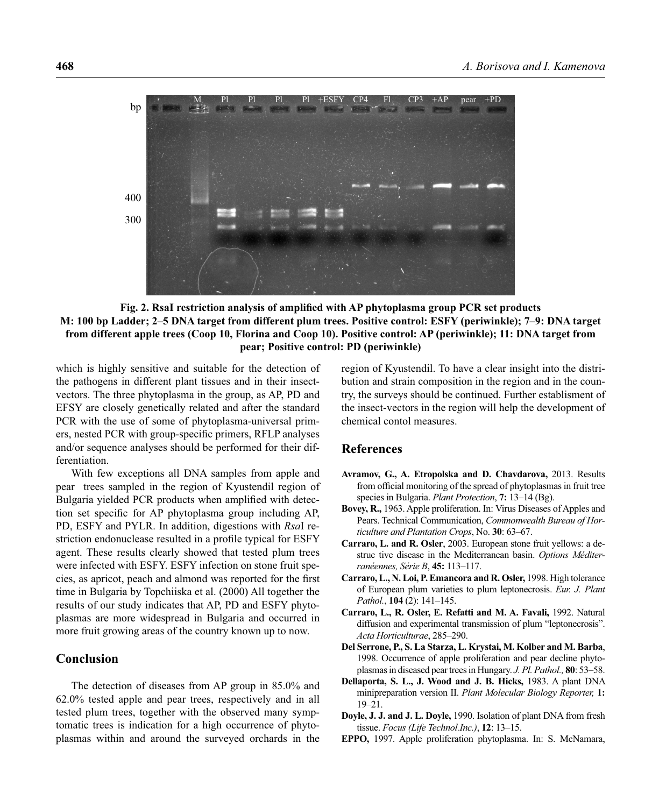

Fig. 2. RsaI restriction analysis of amplified with AP phytoplasma group PCR set products **M: 100 bp Ladder; 2–5 DNA target from different plum trees. Positive control: ESFY (periwinkle); 7–9: DNA target from different apple trees (Coop 10, Florina and Coop 10). Positive control: AP (periwinkle); 11: DNA target from pear; Positive control: PD (periwinkle)**

which is highly sensitive and suitable for the detection of the pathogens in different plant tissues and in their insectvectors. The three phytoplasma in the group, as AP, PD and EFSY are closely genetically related and after the standard PCR with the use of some of phytoplasma-universal primers, nested PCR with group-specific primers, RFLP analyses and/or sequence analyses should be performed for their differentiation.

With few exceptions all DNA samples from apple and pear trees sampled in the region of Kyustendil region of Bulgaria yielded PCR products when amplified with detection set specific for AP phytoplasma group including AP, PD, ESFY and PYLR. In addition, digestions with *Rsa*I restriction endonuclease resulted in a profile typical for ESFY agent. These results clearly showed that tested plum trees were infected with ESFY. ESFY infection on stone fruit species, as apricot, peach and almond was reported for the first time in Bulgaria by Topchiiska et al. (2000) All together the results of our study indicates that AP, PD and ESFY phytoplasmas are more widespread in Bulgaria and occurred in more fruit growing areas of the country known up to now.

#### **Conclusion**

The detection of diseases from AP group in 85.0% and 62.0% tested apple and pear trees, respectively and in all tested plum trees, together with the observed many symptomatic trees is indication for a high occurrence of phytoplasmas within and around the surveyed orchards in the region of Kyustendil. To have a clear insight into the distribution and strain composition in the region and in the country, the surveys should be continued. Further establisment of the insect-vectors in the region will help the development of chemical contol measures.

## **References**

- **Avramov, G., A. Etropolska and D. Chavdarova,** 2013. Results from official monitoring of the spread of phytoplasmas in fruit tree species in Bulgaria. *Plant Protection*, **7:** 13–14 (Bg).
- **Bovey, R.,** 1963. Apple proliferation. In: Virus Diseases of Apples and Pears. Technical Communication, *Commonwealth Bureau of Horticulture and Plantation Crops*, No. **30**: 63–67.
- **Carraro, L. and R. Osler**, 2003. European stone fruit yellows: a destruc tive disease in the Mediterranean basin. *Options Méditerranéennes, Série B*, **45:** 113–117.
- **Carraro, L., N. Loi, P. Emancora and R. Osler,** 1998. High tolerance of European plum varieties to plum leptonecrosis. *Eur. J. Plant Pathol.*, **104** (2): 141–145.
- **Carraro, L., R. Osler, E. Refatti and M. A. Favali,** 1992. Natural diffusion and experimental transmission of plum "leptonecrosis". *Acta Horticulturae*, 285–290.
- **Del Serrone, P., S. La Starza, L. Krystai, M. Kolber and M. Barba**, 1998. Occurrence of apple proliferation and pear decline phytoplasmas in diseased pear trees in Hungary. *J. Pl. Pathol.,* **80**: 53–58.
- **Dellaporta, S. L., J. Wood and J. B. Hicks,** 1983. A plant DNA minipreparation version II. *Plant Molecular Biology Reporter,* **1:** 19–21.
- **Doyle, J. J. and J. L. Doyle,** 1990. Isolation of plant DNA from fresh tissue. *Focus (Life Technol.Inc.)*, **12**: 13–15.
- **EPPO,** 1997. Apple proliferation phytoplasma. In: S. McNamara,